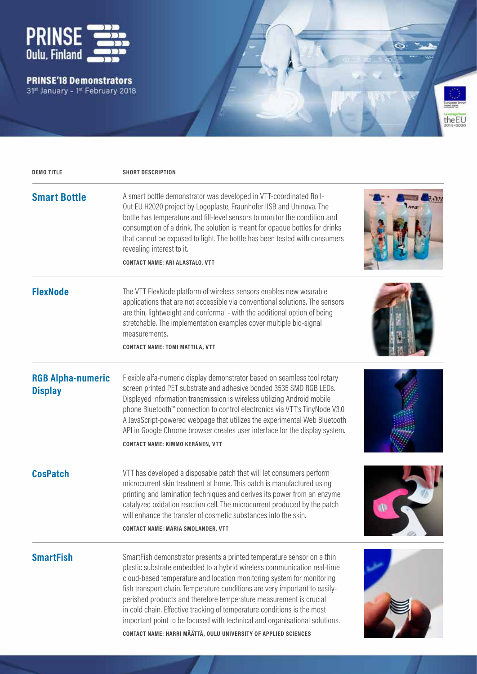

PRINSE'18 Demonstrators<br>31<sup>st</sup> January - 1<sup>st</sup> February 2018



| <b>DEMO TITLE</b>                          | <b>SHORT DESCRIPTION</b>                                                                                                                                                                                                                                                                                                                                                                                                                                                                                                                                                                                   |  |
|--------------------------------------------|------------------------------------------------------------------------------------------------------------------------------------------------------------------------------------------------------------------------------------------------------------------------------------------------------------------------------------------------------------------------------------------------------------------------------------------------------------------------------------------------------------------------------------------------------------------------------------------------------------|--|
| <b>Smart Bottle</b>                        | A smart bottle demonstrator was developed in VTT-coordinated Roll-<br>Out EU H2020 project by Logoplaste, Fraunhofer IISB and Uninova. The<br>bottle has temperature and fill-level sensors to monitor the condition and<br>consumption of a drink. The solution is meant for opaque bottles for drinks<br>that cannot be exposed to light. The bottle has been tested with consumers<br>revealing interest to it.<br><b>CONTACT NAME: ARI ALASTALO, VTT</b>                                                                                                                                               |  |
| <b>FlexNode</b>                            | The VTT FlexNode platform of wireless sensors enables new wearable<br>applications that are not accessible via conventional solutions. The sensors<br>are thin, lightweight and conformal - with the additional option of being<br>stretchable. The implementation examples cover multiple bio-signal<br>measurements.<br><b>CONTACT NAME: TOMI MATTILA, VTT</b>                                                                                                                                                                                                                                           |  |
| <b>RGB Alpha-numeric</b><br><b>Display</b> | Flexible alfa-numeric display demonstrator based on seamless tool rotary<br>screen printed PET substrate and adhesive bonded 3535 SMD RGB LEDs.<br>Displayed information transmission is wireless utilizing Android mobile<br>phone Bluetooth™ connection to control electronics via VTT's TinyNode V3.0.<br>A JavaScript-powered webpage that utilizes the experimental Web Bluetooth<br>API in Google Chrome browser creates user interface for the display system.<br>CONTACT NAME: KIMMO KERÄNEN, VTT                                                                                                  |  |
| <b>CosPatch</b>                            | VTT has developed a disposable patch that will let consumers perform<br>microcurrent skin treatment at home. This patch is manufactured using<br>printing and lamination techniques and derives its power from an enzyme<br>catalyzed oxidation reaction cell. The microcurrent produced by the patch<br>will enhance the transfer of cosmetic substances into the skin.<br><b>CONTACT NAME: MARIA SMOLANDER, VTT</b>                                                                                                                                                                                      |  |
| <b>SmartFish</b>                           | SmartFish demonstrator presents a printed temperature sensor on a thin<br>plastic substrate embedded to a hybrid wireless communication real-time<br>cloud-based temperature and location monitoring system for monitoring<br>fish transport chain. Temperature conditions are very important to easily-<br>perished products and therefore temperature measurement is crucial<br>in cold chain. Effective tracking of temperature conditions is the most<br>important point to be focused with technical and organisational solutions.<br>CONTACT NAME: HARRI MÄÄTTÄ, OULU UNIVERSITY OF APPLIED SCIENCES |  |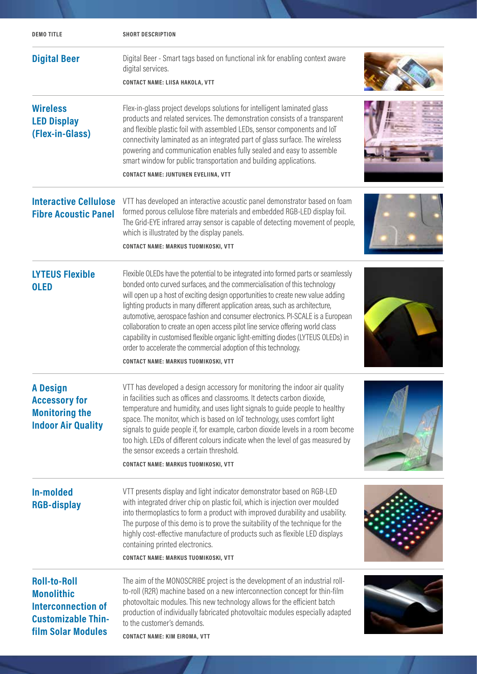| <b>DEMOTITLE</b>                                                                                                                | <b>SHORT DESCRIPTION</b>                                                                                                                                                                                                                                                                                                                                                                                                                                                                                                                                                                                                                                                                                      |  |
|---------------------------------------------------------------------------------------------------------------------------------|---------------------------------------------------------------------------------------------------------------------------------------------------------------------------------------------------------------------------------------------------------------------------------------------------------------------------------------------------------------------------------------------------------------------------------------------------------------------------------------------------------------------------------------------------------------------------------------------------------------------------------------------------------------------------------------------------------------|--|
| <b>Digital Beer</b>                                                                                                             | Digital Beer - Smart tags based on functional ink for enabling context aware<br>digital services.<br><b>CONTACT NAME: LIISA HAKOLA, VTT</b>                                                                                                                                                                                                                                                                                                                                                                                                                                                                                                                                                                   |  |
| <b>Wireless</b><br><b>LED Display</b><br>(Flex-in-Glass)                                                                        | Flex-in-glass project develops solutions for intelligent laminated glass<br>products and related services. The demonstration consists of a transparent<br>and flexible plastic foil with assembled LEDs, sensor components and IoT<br>connectivity laminated as an integrated part of glass surface. The wireless<br>powering and communication enables fully sealed and easy to assemble<br>smart window for public transportation and building applications.<br>CONTACT NAME: JUNTUNEN EVELIINA, VTT                                                                                                                                                                                                        |  |
| <b>Interactive Cellulose</b><br><b>Fibre Acoustic Panel</b>                                                                     | VTT has developed an interactive acoustic panel demonstrator based on foam<br>formed porous cellulose fibre materials and embedded RGB-LED display foil.<br>The Grid-EYE infrared array sensor is capable of detecting movement of people,<br>which is illustrated by the display panels.<br>CONTACT NAME: MARKUS TUOMIKOSKI, VTT                                                                                                                                                                                                                                                                                                                                                                             |  |
| <b>LYTEUS Flexible</b><br><b>OLED</b>                                                                                           | Flexible OLEDs have the potential to be integrated into formed parts or seamlessly<br>bonded onto curved surfaces, and the commercialisation of this technology<br>will open up a host of exciting design opportunities to create new value adding<br>lighting products in many different application areas, such as architecture,<br>automotive, aerospace fashion and consumer electronics. PI-SCALE is a European<br>collaboration to create an open access pilot line service offering world class<br>capability in customised flexible organic light-emitting diodes (LYTEUS OLEDs) in<br>order to accelerate the commercial adoption of this technology.<br><b>CONTACT NAME: MARKUS TUOMIKOSKI, VTT</b> |  |
| <b>A Design</b><br><b>Accessory for</b><br><b>Monitoring the</b><br><b>Indoor Air Quality</b>                                   | VTT has developed a design accessory for monitoring the indoor air quality<br>in facilities such as offices and classrooms. It detects carbon dioxide,<br>temperature and humidity, and uses light signals to guide people to healthy<br>space. The monitor, which is based on IoT technology, uses comfort light<br>signals to guide people if, for example, carbon dioxide levels in a room become<br>too high. LEDs of different colours indicate when the level of gas measured by<br>the sensor exceeds a certain threshold.<br>CONTACT NAME: MARKUS TUOMIKOSKI, VTT                                                                                                                                     |  |
| In-molded<br><b>RGB-display</b>                                                                                                 | VTT presents display and light indicator demonstrator based on RGB-LED<br>with integrated driver chip on plastic foil, which is injection over moulded<br>into thermoplastics to form a product with improved durability and usability.<br>The purpose of this demo is to prove the suitability of the technique for the<br>highly cost-effective manufacture of products such as flexible LED displays<br>containing printed electronics.<br>CONTACT NAME: MARKUS TUOMIKOSKI, VTT                                                                                                                                                                                                                            |  |
| <b>Roll-to-Roll</b><br><b>Monolithic</b><br><b>Interconnection of</b><br><b>Customizable Thin-</b><br><b>film Solar Modules</b> | The aim of the MONOSCRIBE project is the development of an industrial roll-<br>to-roll (R2R) machine based on a new interconnection concept for thin-film<br>photovoltaic modules. This new technology allows for the efficient batch<br>production of individually fabricated photovoltaic modules especially adapted<br>to the customer's demands.<br><b>CONTACT NAME: KIM EIROMA, VTT</b>                                                                                                                                                                                                                                                                                                                  |  |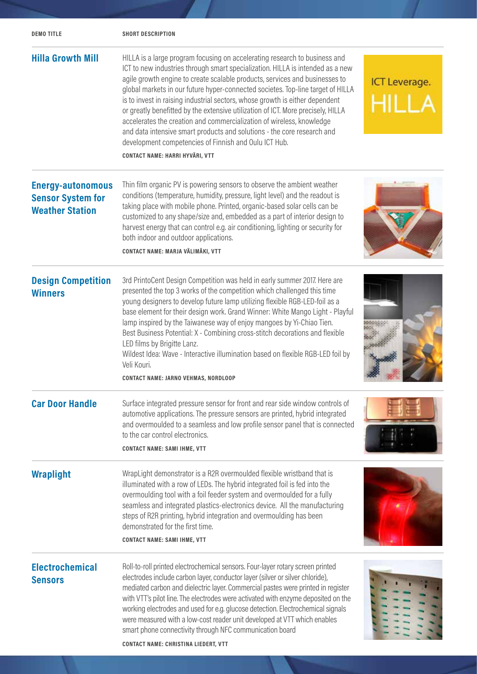| <b>DEMOTITLE</b>                                                               | <b>SHORT DESCRIPTION</b>                                                                                                                                                                                                                                                                                                                                                                                                                                                                                                                                                                                                                                                                                                                           |                      |
|--------------------------------------------------------------------------------|----------------------------------------------------------------------------------------------------------------------------------------------------------------------------------------------------------------------------------------------------------------------------------------------------------------------------------------------------------------------------------------------------------------------------------------------------------------------------------------------------------------------------------------------------------------------------------------------------------------------------------------------------------------------------------------------------------------------------------------------------|----------------------|
| <b>Hilla Growth Mill</b>                                                       | HILLA is a large program focusing on accelerating research to business and<br>ICT to new industries through smart specialization. HILLA is intended as a new<br>agile growth engine to create scalable products, services and businesses to<br>global markets in our future hyper-connected societes. Top-line target of HILLA<br>is to invest in raising industrial sectors, whose growth is either dependent<br>or greatly benefitted by the extensive utilization of ICT. More precisely, HILLA<br>accelerates the creation and commercialization of wireless, knowledge<br>and data intensive smart products and solutions - the core research and<br>development competencies of Finnish and Oulu ICT Hub.<br>CONTACT NAME: HARRI HYVÄRI, VTT | <b>ICT Leverage.</b> |
| <b>Energy-autonomous</b><br><b>Sensor System for</b><br><b>Weather Station</b> | Thin film organic PV is powering sensors to observe the ambient weather<br>conditions (temperature, humidity, pressure, light level) and the readout is<br>taking place with mobile phone. Printed, organic-based solar cells can be<br>customized to any shape/size and, embedded as a part of interior design to<br>harvest energy that can control e.g. air conditioning, lighting or security for<br>both indoor and outdoor applications.<br>CONTACT NAME: MARJA VÄLIMÄKI, VTT                                                                                                                                                                                                                                                                |                      |
| <b>Design Competition</b><br><b>Winners</b>                                    | 3rd PrintoCent Design Competition was held in early summer 2017. Here are<br>presented the top 3 works of the competition which challenged this time<br>young designers to develop future lamp utilizing flexible RGB-LED-foil as a<br>base element for their design work. Grand Winner: White Mango Light - Playful<br>lamp inspired by the Taiwanese way of enjoy mangoes by Yi-Chiao Tien.<br>Best Business Potential: X - Combining cross-stitch decorations and flexible<br>LED films by Brigitte Lanz.<br>Wildest Idea: Wave - Interactive illumination based on flexible RGB-LED foil by<br>Veli Kouri.<br>CONTACT NAME: JARNO VEHMAS, NORDLOOP                                                                                             |                      |
| <b>Car Door Handle</b>                                                         | Surface integrated pressure sensor for front and rear side window controls of<br>automotive applications. The pressure sensors are printed, hybrid integrated<br>and overmoulded to a seamless and low profile sensor panel that is connected<br>to the car control electronics.<br><b>CONTACT NAME: SAMI IHME, VTT</b>                                                                                                                                                                                                                                                                                                                                                                                                                            |                      |
| <b>Wraplight</b>                                                               | WrapLight demonstrator is a R2R overmoulded flexible wristband that is<br>illuminated with a row of LEDs. The hybrid integrated foil is fed into the<br>overmoulding tool with a foil feeder system and overmoulded for a fully<br>seamless and integrated plastics-electronics device. All the manufacturing<br>steps of R2R printing, hybrid integration and overmoulding has been<br>demonstrated for the first time.<br><b>CONTACT NAME: SAMI IHME, VTT</b>                                                                                                                                                                                                                                                                                    |                      |
| <b>Electrochemical</b><br><b>Sensors</b>                                       | Roll-to-roll printed electrochemical sensors. Four-layer rotary screen printed<br>electrodes include carbon layer, conductor layer (silver or silver chloride),<br>mediated carbon and dielectric layer. Commercial pastes were printed in register<br>with VTT's pilot line. The electrodes were activated with enzyme deposited on the<br>working electrodes and used for e.g. glucose detection. Electrochemical signals<br>were measured with a low-cost reader unit developed at VTT which enables<br>smart phone connectivity through NFC communication board                                                                                                                                                                                |                      |

**CONTACT NAME: CHRISTINA LIEDERT, VTT**